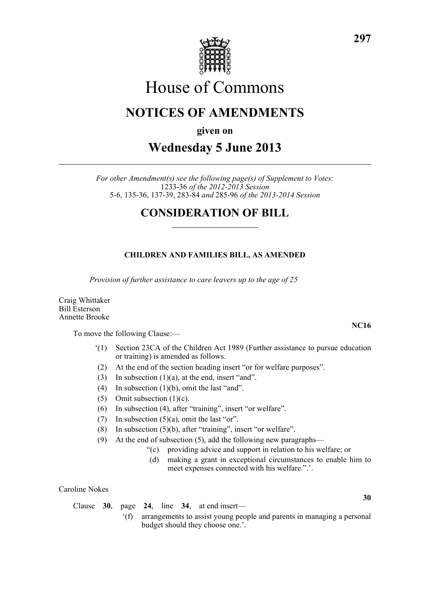

# House of Commons

# **NOTICES OF AMENDMENTS**

**given on**

# **Wednesday 5 June 2013**

*For other Amendment(s) see the following page(s) of Supplement to Votes:* 1233-36 *of the 2012-2013 Session* 5-6, 135-36, 137-39, 283-84 *and* 285-96 *of the 2013-2014 Session*

# **CONSIDERATION OF BILL**

# **CHILDREN AND FAMILIES BILL, AS AMENDED**

*Provision of further assistance to care leavers up to the age of 25*

Craig Whittaker Bill Esterson Annette Brooke

To move the following Clause:—

- '(1) Section 23CA of the Children Act 1989 (Further assistance to pursue education or training) is amended as follows.
- (2) At the end of the section heading insert "or for welfare purposes".
- (3) In subsection  $(1)(a)$ , at the end, insert "and".
- (4) In subsection (1)(b), omit the last "and".
- (5) Omit subsection (1)(c).
- (6) In subsection (4), after "training", insert "or welfare".
- (7) In subsection  $(5)(a)$ , omit the last "or".
- (8) In subsection (5)(b), after "training", insert "or welfare".
- (9) At the end of subsection (5), add the following new paragraphs—
	- "(c) providing advice and support in relation to his welfare; or
	- (d) making a grant in exceptional circumstances to enable him to meet expenses connected with his welfare.".'.

Caroline Nokes

Clause **30**, page **24**, line **34**, at end insert—

'(f) arrangements to assist young people and parents in managing a personal budget should they choose one.'.

**30**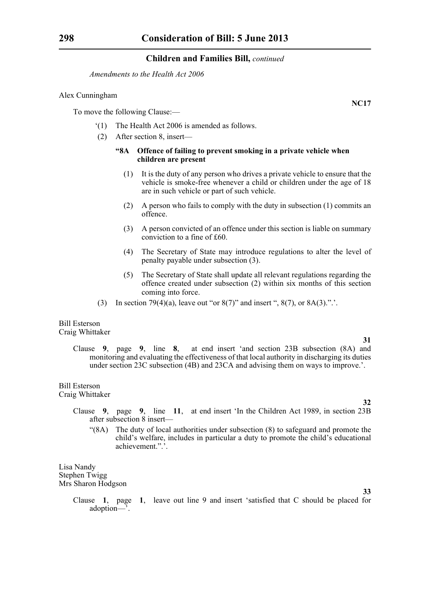*Amendments to the Health Act 2006*

### Alex Cunningham

To move the following Clause:—

- '(1) The Health Act 2006 is amended as follows.
- (2) After section 8, insert—

### **"8A Offence of failing to prevent smoking in a private vehicle when children are present**

- (1) It is the duty of any person who drives a private vehicle to ensure that the vehicle is smoke-free whenever a child or children under the age of 18 are in such vehicle or part of such vehicle.
- (2) A person who fails to comply with the duty in subsection (1) commits an offence.
- (3) A person convicted of an offence under this section is liable on summary conviction to a fine of £60.
- (4) The Secretary of State may introduce regulations to alter the level of penalty payable under subsection (3).
- (5) The Secretary of State shall update all relevant regulations regarding the offence created under subsection (2) within six months of this section coming into force.
- (3) In section 79(4)(a), leave out "or  $8(7)$ " and insert ",  $8(7)$ , or  $8A(3)$ .".

#### Bill Esterson Craig Whittaker

**31**

**32**

**33**

Clause **9**, page **9**, line **8**, at end insert 'and section 23B subsection (8A) and monitoring and evaluating the effectiveness of that local authority in discharging its duties under section 23C subsection (4B) and 23CA and advising them on ways to improve.'.

# Bill Esterson

Craig Whittaker

- Clause **9**, page **9**, line **11**, at end insert 'In the Children Act 1989, in section 23B after subsection 8 insert—
	- "(8A) The duty of local authorities under subsection (8) to safeguard and promote the child's welfare, includes in particular a duty to promote the child's educational achievement.".'.

Lisa Nandy Stephen Twigg Mrs Sharon Hodgson

> Clause **1**, page **1**, leave out line 9 and insert 'satisfied that C should be placed for adoption—'.

**NC17**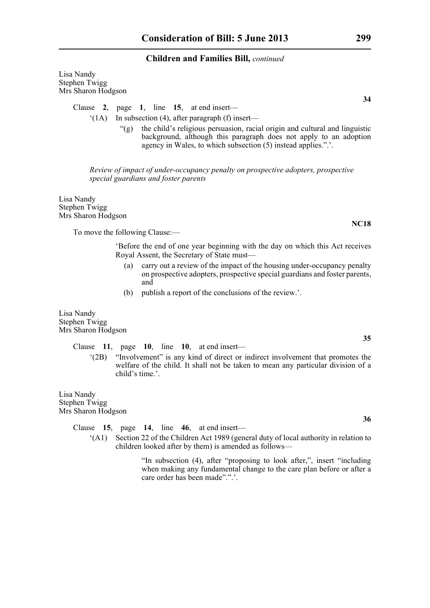Lisa Nandy Stephen Twigg Mrs Sharon Hodgson

Clause **2**, page **1**, line **15**, at end insert—

- '(1A) In subsection (4), after paragraph (f) insert—
	- "(g) the child's religious persuasion, racial origin and cultural and linguistic background, although this paragraph does not apply to an adoption agency in Wales, to which subsection (5) instead applies.".'.

*Review of impact of under-occupancy penalty on prospective adopters, prospective special guardians and foster parents*

Lisa Nandy Stephen Twigg Mrs Sharon Hodgson

To move the following Clause:—

'Before the end of one year beginning with the day on which this Act receives Royal Assent, the Secretary of State must—

- (a) carry out a review of the impact of the housing under-occupancy penalty on prospective adopters, prospective special guardians and foster parents, and
- (b) publish a report of the conclusions of the review.'.

Lisa Nandy Stephen Twigg Mrs Sharon Hodgson

# Clause **11**, page **10**, line **10**, at end insert—

'(2B) "Involvement" is any kind of direct or indirect involvement that promotes the welfare of the child. It shall not be taken to mean any particular division of a child's time.'.

Lisa Nandy Stephen Twigg Mrs Sharon Hodgson

Clause **15**, page **14**, line **46**, at end insert—

'(A1) Section 22 of the Children Act 1989 (general duty of local authority in relation to children looked after by them) is amended as follows—

> "In subsection (4), after "proposing to look after,", insert "including when making any fundamental change to the care plan before or after a care order has been made".".'.

**34**

**35**

**NC18**

**36**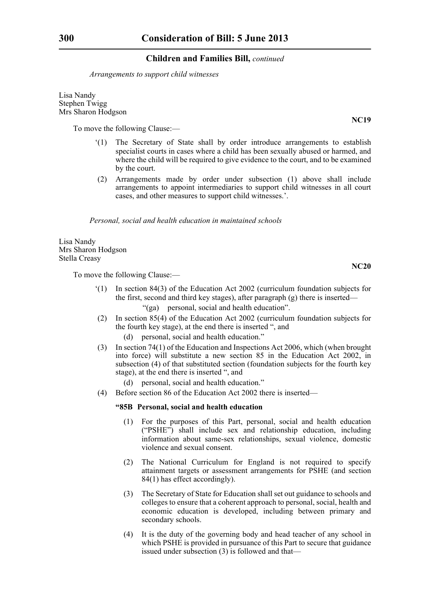*Arrangements to support child witnesses*

Lisa Nandy Stephen Twigg Mrs Sharon Hodgson

To move the following Clause:—

- '(1) The Secretary of State shall by order introduce arrangements to establish specialist courts in cases where a child has been sexually abused or harmed, and where the child will be required to give evidence to the court, and to be examined by the court.
- (2) Arrangements made by order under subsection (1) above shall include arrangements to appoint intermediaries to support child witnesses in all court cases, and other measures to support child witnesses.'.

*Personal, social and health education in maintained schools*

Lisa Nandy Mrs Sharon Hodgson Stella Creasy

To move the following Clause:—

- '(1) In section 84(3) of the Education Act 2002 (curriculum foundation subjects for the first, second and third key stages), after paragraph (g) there is inserted—
	- "(ga) personal, social and health education".
- (2) In section 85(4) of the Education Act 2002 (curriculum foundation subjects for the fourth key stage), at the end there is inserted ", and
	- (d) personal, social and health education."
- (3) In section 74(1) of the Education and Inspections Act 2006, which (when brought into force) will substitute a new section 85 in the Education Act 2002, in subsection (4) of that substituted section (foundation subjects for the fourth key stage), at the end there is inserted ", and
	- (d) personal, social and health education."
- (4) Before section 86 of the Education Act 2002 there is inserted—

#### **"85B Personal, social and health education**

- (1) For the purposes of this Part, personal, social and health education ("PSHE") shall include sex and relationship education, including information about same-sex relationships, sexual violence, domestic violence and sexual consent.
- (2) The National Curriculum for England is not required to specify attainment targets or assessment arrangements for PSHE (and section 84(1) has effect accordingly).
- (3) The Secretary of State for Education shall set out guidance to schools and colleges to ensure that a coherent approach to personal, social, health and economic education is developed, including between primary and secondary schools.
- (4) It is the duty of the governing body and head teacher of any school in which PSHE is provided in pursuance of this Part to secure that guidance issued under subsection  $(3)$  is followed and that—

**NC19**

**NC20**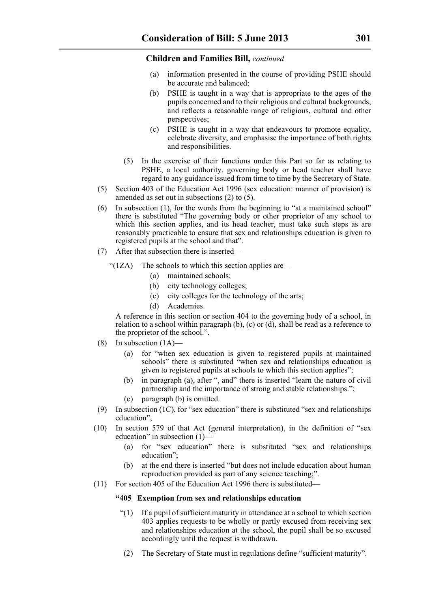- (a) information presented in the course of providing PSHE should be accurate and balanced;
- (b) PSHE is taught in a way that is appropriate to the ages of the pupils concerned and to their religious and cultural backgrounds, and reflects a reasonable range of religious, cultural and other perspectives;
- (c) PSHE is taught in a way that endeavours to promote equality, celebrate diversity, and emphasise the importance of both rights and responsibilities.
- (5) In the exercise of their functions under this Part so far as relating to PSHE, a local authority, governing body or head teacher shall have regard to any guidance issued from time to time by the Secretary of State.
- (5) Section 403 of the Education Act 1996 (sex education: manner of provision) is amended as set out in subsections  $(2)$  to  $(5)$ .
- (6) In subsection (1), for the words from the beginning to "at a maintained school" there is substituted "The governing body or other proprietor of any school to which this section applies, and its head teacher, must take such steps as are reasonably practicable to ensure that sex and relationships education is given to registered pupils at the school and that".
- (7) After that subsection there is inserted—
	- " $(1ZA)$  The schools to which this section applies are—
		- (a) maintained schools;
		- (b) city technology colleges;
		- (c) city colleges for the technology of the arts;
		- (d) Academies.

A reference in this section or section 404 to the governing body of a school, in relation to a school within paragraph (b), (c) or (d), shall be read as a reference to the proprietor of the school.".

- (8) In subsection  $(1A)$ 
	- (a) for "when sex education is given to registered pupils at maintained schools" there is substituted "when sex and relationships education is given to registered pupils at schools to which this section applies";
	- (b) in paragraph (a), after ", and" there is inserted "learn the nature of civil partnership and the importance of strong and stable relationships.";
	- (c) paragraph (b) is omitted.
- (9) In subsection (1C), for "sex education" there is substituted "sex and relationships education",
- (10) In section 579 of that Act (general interpretation), in the definition of "sex education" in subsection (1)—
	- (a) for "sex education" there is substituted "sex and relationships education"<sup>.</sup>
	- (b) at the end there is inserted "but does not include education about human reproduction provided as part of any science teaching;".
- (11) For section 405 of the Education Act 1996 there is substituted—

### **"405 Exemption from sex and relationships education**

- $(1)$  If a pupil of sufficient maturity in attendance at a school to which section 403 applies requests to be wholly or partly excused from receiving sex and relationships education at the school, the pupil shall be so excused accordingly until the request is withdrawn.
- (2) The Secretary of State must in regulations define "sufficient maturity".